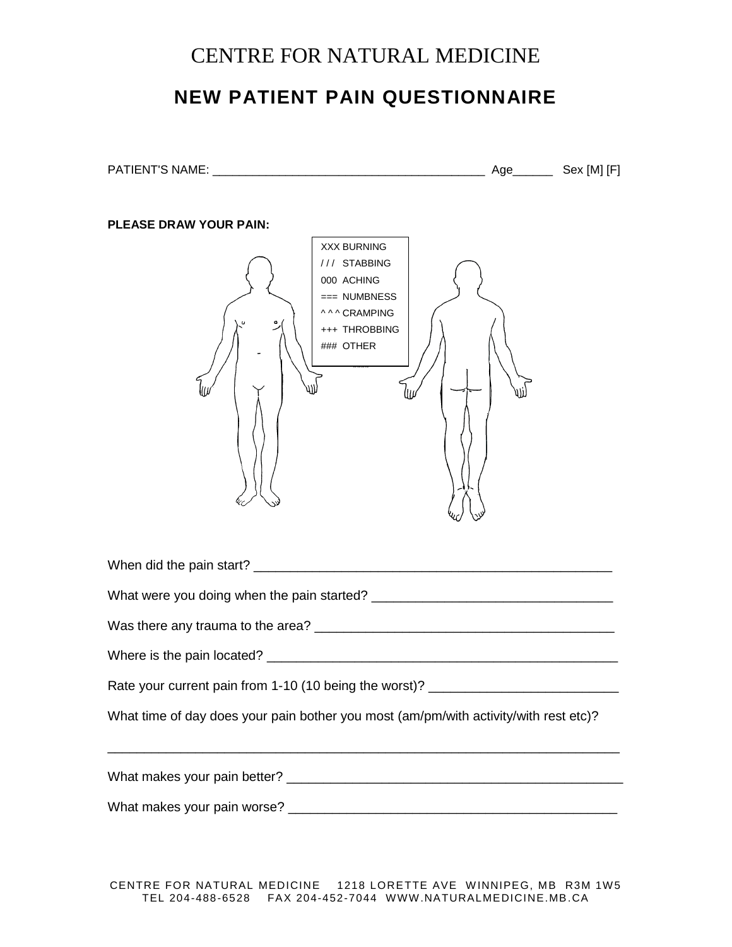## CENTRE FOR NATURAL MEDICINE

## **NEW PATIENT PAIN QUESTIONNAIRE**

PATIENT'S NAME: \_\_\_\_\_\_\_\_\_\_\_\_\_\_\_\_\_\_\_\_\_\_\_\_\_\_\_\_\_\_\_\_\_\_\_\_\_\_\_\_\_ Age\_\_\_\_\_\_ Sex [M] [F]

| <b>PLEASE DRAW YOUR PAIN:</b><br><b>XXX BURNING</b><br>/// STABBING<br>000 ACHING<br>=== NUMBNESS<br><b>^^^ CRAMPING</b><br>+++ THROBBING<br>### OTHER |
|--------------------------------------------------------------------------------------------------------------------------------------------------------|
|                                                                                                                                                        |
|                                                                                                                                                        |
|                                                                                                                                                        |
|                                                                                                                                                        |
| Rate your current pain from 1-10 (10 being the worst)? _________________________                                                                       |
| What time of day does your pain bother you most (am/pm/with activity/with rest etc)?                                                                   |
|                                                                                                                                                        |
|                                                                                                                                                        |
| CENTRE FOR NATURAL MEDICINE 1218 LORETTE AVE WINNIPEG, MB R3M 1W5                                                                                      |